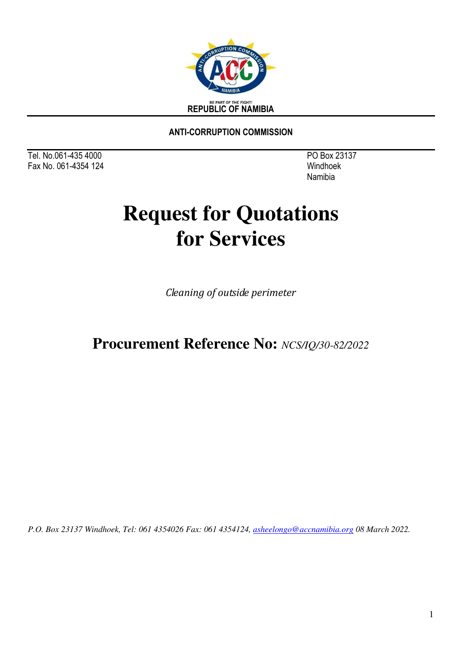

**ANTI-CORRUPTION COMMISSION** 

Tel. No.061-435 4000PO Box 23137 Fax No. 061-4354 124 Windhoek

Namibia

# **Request for Quotations for Services**

*Cleaning of outside perimeter*

## **Procurement Reference No:** *NCS/IQ/30-82/2022*

*P.O. Box 23137 Windhoek, Tel: 061 4354026 Fax: 061 4354124, [asheelongo@accnamibia.org](mailto:asheelongo@accnamibia.org) 08 March 2022.*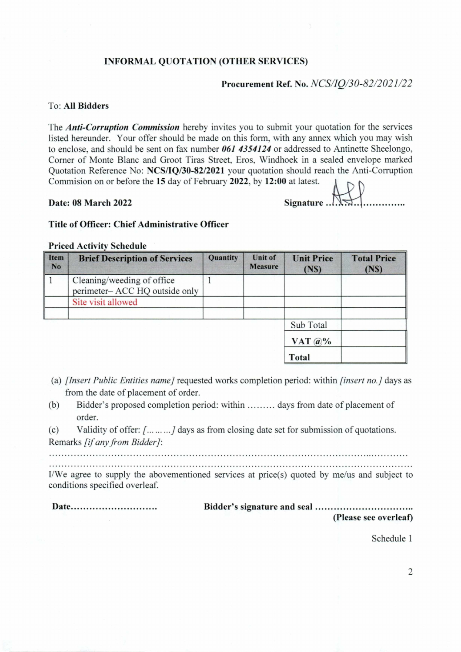### **INFORMAL QUOTATION (OTHER SERVICES)**

### **Procurement Ref. No.** *NCSV/30-82/2021/22*

### **To: All Bidders**

**The** *Anti-Corruption Commission* **hereby invites you to submit your quotation for the services listed hereunder. Your offer should be made on this form, with any annex which you may wish to enclose, and should be sent on fax number** *061 4354124* **or addressed to Antinette Sheelongo, Corner of Monte Blanc and Groot Tiras Street, Eros, Windhoek in a sealed envelope marked Quotation Reference No: NCSAQ/30-82/2021 your quotation should reach the Anti-Corruption Commision on or before the 15 day of February 2022, by 12:00 at latest.**   $\mathbf{1}$ 

**Date: 08 March 2022** 

| o al ialvol. |  |  |  |  |  |  |  |
|--------------|--|--|--|--|--|--|--|
|              |  |  |  |  |  |  |  |

### **Title of Officer: Chief** Administrative Officer

### **Priced Activity Schedule**

| Item<br>N <sub>o</sub> | <b>Brief Description of Services</b>                         | Quantity | <b>Unit of</b><br><b>Measure</b> | <b>Unit Price</b><br>(NS) | <b>Total Price</b><br>(NS) |
|------------------------|--------------------------------------------------------------|----------|----------------------------------|---------------------------|----------------------------|
|                        | Cleaning/weeding of office<br>perimeter- ACC HQ outside only |          |                                  |                           |                            |
|                        | Site visit allowed                                           |          |                                  |                           |                            |
|                        |                                                              |          |                                  | Sub Total                 |                            |
|                        |                                                              |          |                                  | VAT $\omega$ %            |                            |
|                        |                                                              |          |                                  | Total                     |                            |

- *(a) [Insert Public Entities name]* **requested works completion** period: **within** *[insert no.]* **days as from the date of placement of order.**
- (b) Bidder's proposed completion period: within ......... days from date of placement of **order.**
- (c) Validity of offer:  $\{1, \ldots, d\}$  days as from closing date set for submission of quotations. **Remarks** *[if any from Bidder]:*

**I/We agree to supply the abovementioned** services at price(s) quoted by me/us and subject to conditions specified overleaf.

Date **Bidder's signature and seal (Please see overleaf)** 

Schedule 1

 $\overline{c}$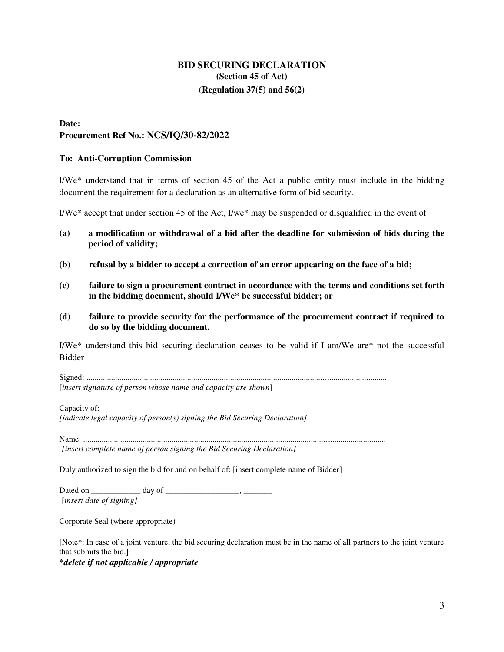### **BID SECURING DECLARATION (Section 45 of Act) (Regulation 37(5) and 56(2)**

### **Date:**

**Procurement Ref No.: NCS/IQ/30-82/2022**

### **To: Anti-Corruption Commission**

I/We\* understand that in terms of section 45 of the Act a public entity must include in the bidding document the requirement for a declaration as an alternative form of bid security.

I/We\* accept that under section 45 of the Act, I/we\* may be suspended or disqualified in the event of

- **(a) a modification or withdrawal of a bid after the deadline for submission of bids during the period of validity;**
- **(b) refusal by a bidder to accept a correction of an error appearing on the face of a bid;**
- **(c) failure to sign a procurement contract in accordance with the terms and conditions set forth in the bidding document, should I/We\* be successful bidder; or**
- **(d) failure to provide security for the performance of the procurement contract if required to do so by the bidding document.**

I/We\* understand this bid securing declaration ceases to be valid if I am/We are\* not the successful Bidder

Signed: .................................................................................................................................................. [*insert signature of person whose name and capacity are shown*]

Capacity of: *[indicate legal capacity of person(s) signing the Bid Securing Declaration]* 

Name: ................................................................................................................................................... *[insert complete name of person signing the Bid Securing Declaration]* 

Duly authorized to sign the bid for and on behalf of: [insert complete name of Bidder]

Dated on \_\_\_\_\_\_\_\_\_\_\_\_ day of \_\_\_\_\_\_\_\_\_\_\_\_\_\_\_\_\_\_, \_\_\_\_\_\_\_ [*insert date of signing]* 

Corporate Seal (where appropriate)

[Note\*: In case of a joint venture, the bid securing declaration must be in the name of all partners to the joint venture that submits the bid.]

*\*delete if not applicable / appropriate*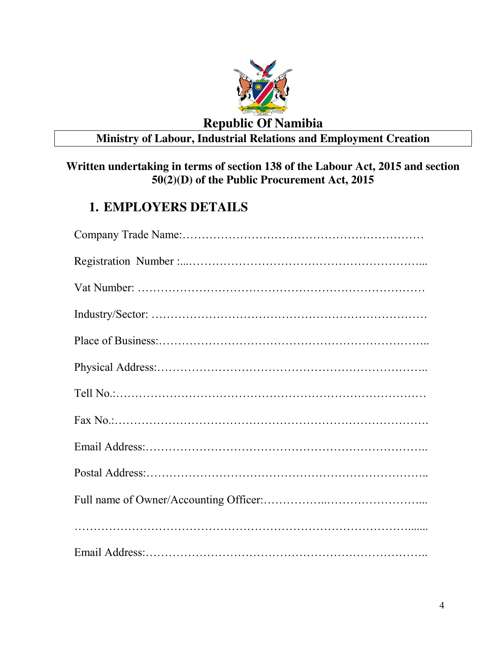

### **Republic Of Namibia**

## **Ministry of Labour, Industrial Relations and Employment Creation**

### **Written undertaking in terms of section 138 of the Labour Act, 2015 and section 50(2)(D) of the Public Procurement Act, 2015**

## **1. EMPLOYERS DETAILS**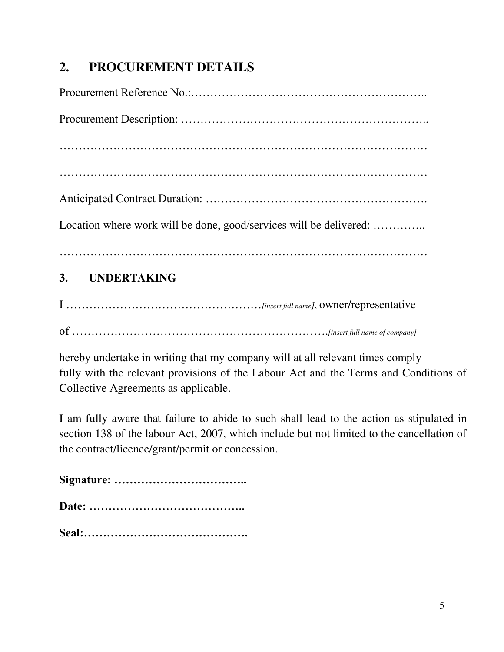## **2. PROCUREMENT DETAILS**

| 3. UNDERTAKING                                                     |
|--------------------------------------------------------------------|
| Location where work will be done, good/services will be delivered: |
|                                                                    |
|                                                                    |
|                                                                    |
|                                                                    |
|                                                                    |

## I ……………………………………………*[insert full name]*, owner/representative

of ………………………………………………………….*[insert full name of company]* 

hereby undertake in writing that my company will at all relevant times comply fully with the relevant provisions of the Labour Act and the Terms and Conditions of Collective Agreements as applicable.

I am fully aware that failure to abide to such shall lead to the action as stipulated in section 138 of the labour Act, 2007, which include but not limited to the cancellation of the contract/licence/grant/permit or concession.

**Signature: ……………………………..**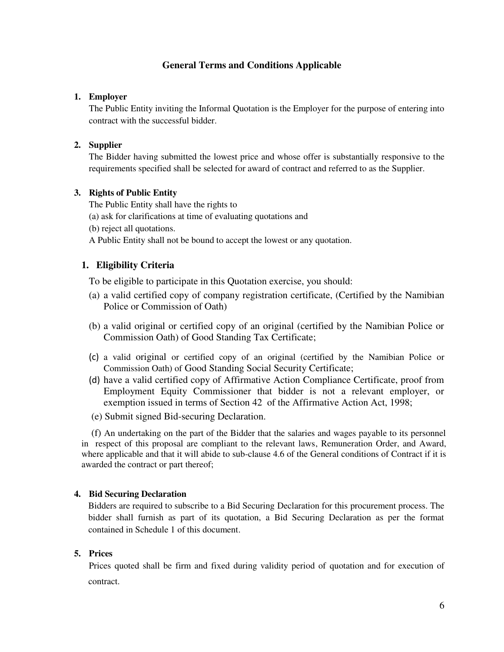### **General Terms and Conditions Applicable**

### **1. Employer**

The Public Entity inviting the Informal Quotation is the Employer for the purpose of entering into contract with the successful bidder.

### **2. Supplier**

The Bidder having submitted the lowest price and whose offer is substantially responsive to the requirements specified shall be selected for award of contract and referred to as the Supplier.

### **3. Rights of Public Entity**

The Public Entity shall have the rights to

- (a) ask for clarifications at time of evaluating quotations and
- (b) reject all quotations.

A Public Entity shall not be bound to accept the lowest or any quotation.

### **1. Eligibility Criteria**

To be eligible to participate in this Quotation exercise, you should:

- (a) a valid certified copy of company registration certificate, (Certified by the Namibian Police or Commission of Oath)
- (b) a valid original or certified copy of an original (certified by the Namibian Police or Commission Oath) of Good Standing Tax Certificate;
- (c) a valid original or certified copy of an original (certified by the Namibian Police or Commission Oath) of Good Standing Social Security Certificate;
- (d) have a valid certified copy of Affirmative Action Compliance Certificate, proof from Employment Equity Commissioner that bidder is not a relevant employer, or exemption issued in terms of Section 42 of the Affirmative Action Act, 1998;
- (e) Submit signed Bid-securing Declaration.

 (f) An undertaking on the part of the Bidder that the salaries and wages payable to its personnel in respect of this proposal are compliant to the relevant laws, Remuneration Order, and Award, where applicable and that it will abide to sub-clause 4.6 of the General conditions of Contract if it is awarded the contract or part thereof;

### **4. Bid Securing Declaration**

Bidders are required to subscribe to a Bid Securing Declaration for this procurement process. The bidder shall furnish as part of its quotation, a Bid Securing Declaration as per the format contained in Schedule 1 of this document.

### **5. Prices**

Prices quoted shall be firm and fixed during validity period of quotation and for execution of contract.